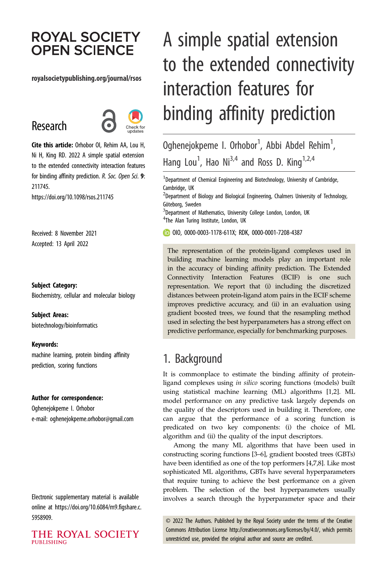# **ROYAL SOCIETY OPEN SCIENCE**

#### royalsocietypublishing.org/journal/rsos

# Research



Cite this article: Orhobor OI, Rehim AA, Lou H, Ni H, King RD. 2022 A simple spatial extension to the extended connectivity interaction features for binding affinity prediction. R. Soc. Open Sci. 9: 211745. https://doi.org/10.1098/rsos.211745

Received: 8 November 2021 Accepted: 13 April 2022

#### Subject Category:

Biochemistry, cellular and molecular biology

#### Subject Areas:

biotechnology/bioinformatics

#### Keywords:

machine learning, protein binding affinity prediction, scoring functions

#### Author for correspondence:

Oghenejokpeme I. Orhobor e-mail: [oghenejokpeme.orhobor@gmail.com](mailto:oghenejokpeme.orhobor@gmail.com)

Electronic supplementary material is available online at [https://doi.org/10.6084/m9.figshare.c.](https://doi.org/10.6084/m9.figshare.c.5958909) [5958909.](https://doi.org/10.6084/m9.figshare.c.5958909)

THE ROYAL SOCIETY **PUBLISHING** 

# A simple spatial extension to the extended connectivity interaction features for binding affinity prediction

Oghenejokpeme I. Orhobor $^1$ , Abbi Abdel Rehim $^1$ , Hang Lou<sup>1</sup>, Hao Ni<sup>3,4</sup> and Ross D. King<sup>1,2,4</sup>

 $^1$ Department of Chemical Engineering and Biotechnology, University of Cambridge, Cambridge, UK

 $^{2}$ Department of Biology and Biological Engineering, Chalmers University of Technology, Göteborg, Sweden

<sup>3</sup>Department of Mathematics, University College London, London, UK <sup>4</sup>The Alan Turing Institute, London, UK

OIO, [0000-0003-1178-611X;](http://orcid.org/0000-0003-1178-611X) RDK, [0000-0001-7208-4387](http://orcid.org/0000-0001-7208-4387)

The representation of the protein-ligand complexes used in building machine learning models play an important role in the accuracy of binding affinity prediction. The Extended Connectivity Interaction Features (ECIF) is one such representation. We report that (i) including the discretized distances between protein-ligand atom pairs in the ECIF scheme improves predictive accuracy, and (ii) in an evaluation using gradient boosted trees, we found that the resampling method used in selecting the best hyperparameters has a strong effect on predictive performance, especially for benchmarking purposes.

## 1. Background

It is commonplace to estimate the binding affinity of proteinligand complexes using in silico scoring functions (models) built using statistical machine learning (ML) algorithms [\[1,2](#page-6-0)]. ML model performance on any predictive task largely depends on the quality of the descriptors used in building it. Therefore, one can argue that the performance of a scoring function is predicated on two key components: (i) the choice of ML algorithm and (ii) the quality of the input descriptors.

Among the many ML algorithms that have been used in constructing scoring functions [[3](#page-6-0)–[6\]](#page-6-0), gradient boosted trees (GBTs) have been identified as one of the top performers [\[4,7,8\]](#page-6-0). Like most sophisticated ML algorithms, GBTs have several hyperparameters that require tuning to achieve the best performance on a given problem. The selection of the best hyperparameters usually involves a search through the hyperparameter space and their

© 2022 The Authors. Published by the Royal Society under the terms of the Creative Commons Attribution License<http://creativecommons.org/licenses/by/4.0/>, which permits unrestricted use, provided the original author and source are credited.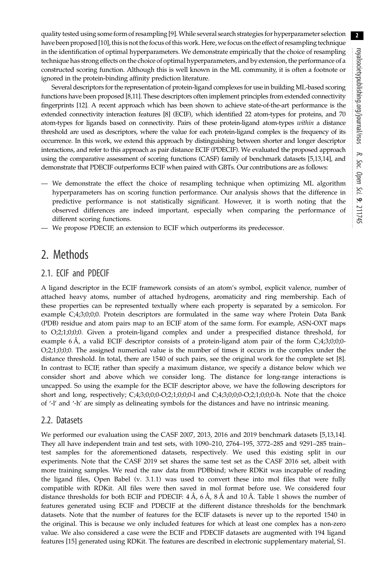quality tested using some form of resampling [\[9\]](#page-6-0).While several search strategies for hyperparameter selection have been proposed [\[10](#page-6-0)], this is not the focus of this work. Here, we focus on the effect of resampling technique in the identification of optimal hyperparameters. We demonstrate empirically that the choice of resampling technique has strong effects on the choice of optimal hyperparameters, and by extension, the performance of a constructed scoring function. Although this is well known in the ML community, it is often a footnote or ignored in the protein-binding affinity prediction literature.

Several descriptors for the representation of protein-ligand complexes for use in building ML-based scoring functions have been proposed [\[8](#page-6-0),[11\]](#page-6-0). These descriptors often implement principles from extended connectivity fingerprints [\[12\]](#page-6-0). A recent approach which has been shown to achieve state-of-the-art performance is the extended connectivity interaction features [[8](#page-6-0)] (ECIF), which identified 22 atom-types for proteins, and 70 atom-types for ligands based on connectivity. Pairs of these protein-ligand atom-types within a distance threshold are used as descriptors, where the value for each protein-ligand complex is the frequency of its occurrence. In this work, we extend this approach by distinguishing between shorter and longer descriptor interactions, and refer to this approach as pair distance ECIF (PDECIF). We evaluated the proposed approach using the comparative assessment of scoring functions (CASF) family of benchmark datasets [\[5](#page-6-0),[13,14\]](#page-6-0), and demonstrate that PDECIF outperforms ECIF when paired with GBTs. Our contributions are as follows:

- We demonstrate the effect the choice of resampling technique when optimizing ML algorithm hyperparameters has on scoring function performance. Our analysis shows that the difference in predictive performance is not statistically significant. However, it is worth noting that the observed differences are indeed important, especially when comparing the performance of different scoring functions.
- We propose PDECIF, an extension to ECIF which outperforms its predecessor.

## 2. Methods

## 2.1. ECIF and PDECIF

A ligand descriptor in the ECIF framework consists of an atom's symbol, explicit valence, number of attached heavy atoms, number of attached hydrogens, aromaticity and ring membership. Each of these properties can be represented textually where each property is separated by a semicolon. For example C;4;3;0;0;0. Protein descriptors are formulated in the same way where Protein Data Bank (PDB) residue and atom pairs map to an ECIF atom of the same form. For example, ASN-OXT maps to O;2;1;0;0;0. Given a protein-ligand complex and under a prespecified distance threshold, for example 6 Å, a valid ECIF descriptor consists of a protein-ligand atom pair of the form C;4;3;0;0;0-O;2;1;0;0;0. The assigned numerical value is the number of times it occurs in the complex under the distance threshold. In total, there are 1540 of such pairs, see the original work for the complete set [[8](#page-6-0)]. In contrast to ECIF, rather than specify a maximum distance, we specify a distance below which we consider short and above which we consider long. The distance for long-range interactions is uncapped. So using the example for the ECIF descriptor above, we have the following descriptors for short and long, respectively; C;4;3;0;0;0-O;2;1;0;0;0-l and C;4;3;0;0;0-O;2;1;0;0;0-h. Note that the choice of '-l' and '-h' are simply as delineating symbols for the distances and have no intrinsic meaning.

### 2.2. Datasets

We performed our evaluation using the CASF 2007, 2013, 2016 and 2019 benchmark datasets [\[5,13,14](#page-6-0)]. They all have independent train and test sets, with 1090–210, 2764–195, 3772–285 and 9291–285 train– test samples for the aforementioned datasets, respectively. We used this existing split in our experiments. Note that the CASF 2019 set shares the same test set as the CASF 2016 set, albeit with more training samples. We read the raw data from PDBbind; where RDKit was incapable of reading the ligand files, Open Babel (v. 3.1.1) was used to convert these into mol files that were fully compatible with RDKit. All files were then saved in mol format before use. We considered four distance thresholds for both ECIF and PDECIF: 4 Å, 6 Å, 8 Å and 10 Å. [Table 1](#page-2-0) shows the number of features generated using ECIF and PDECIF at the different distance thresholds for the benchmark datasets. Note that the number of features for the ECIF datasets is never up to the reported 1540 in the original. This is because we only included features for which at least one complex has a non-zero value. We also considered a case were the ECIF and PDECIF datasets are augmented with 194 ligand features [[15\]](#page-6-0) generated using RDKit. The features are described in electronic supplementary material, S1.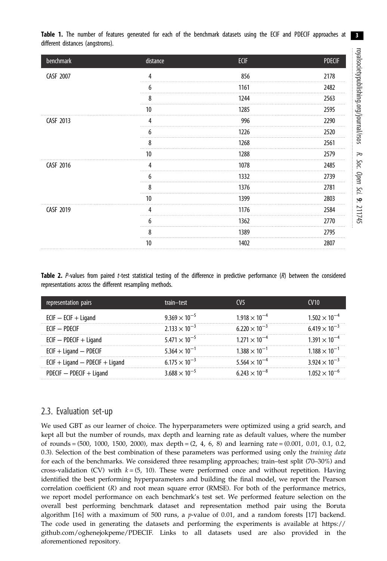3

<span id="page-2-0"></span>

|  |                                  |  |  |  |  |  |  |  | Table 1. The number of features generated for each of the benchmark datasets using the ECIF and PDECIF approaches at |  |
|--|----------------------------------|--|--|--|--|--|--|--|----------------------------------------------------------------------------------------------------------------------|--|
|  | different distances (angstroms). |  |  |  |  |  |  |  |                                                                                                                      |  |

| benchmark | distance | <b>ECIF</b> | <b>PDECIF</b> |
|-----------|----------|-------------|---------------|
| CASF 2007 | 4        | 856         | 2178          |
|           | b        | 1161        | 2482          |
|           | 8        | 1244        | 2563          |
|           | 10       | 1285        | 2595          |
| CASF 2013 |          | 996         | 2290          |
|           | h        | 1226        | 2520          |
|           | 8        | 1268        | 2561          |
|           | 10       | 1288        | 2579          |
| CASF 2016 | 4        | 1078        | 2485          |
|           | h        | 1332        | 2739          |
|           | 8        | 1376        | 2781          |
|           | 10       | 1399        | 2803          |
| CASF 2019 |          | 1176        | 2584          |
|           |          | 1362        | 2770          |
|           | 8        | 1389        | 2795          |
|           | 10       | 1402        | 2807          |

Table 2. P-values from paired t-test statistical testing of the difference in predictive performance (R) between the considered representations across the different resampling methods.

| representation pairs              | train-test             | CV <sub>5</sub>                 | <b>CV<sub>10</sub></b>          |
|-----------------------------------|------------------------|---------------------------------|---------------------------------|
| $ECIF - ECIF + Ligand$            | $9.369 \times 10^{-5}$ | $1.918 \times 10^{-4}$          | $1.502 \times 10^{-4}$          |
| $FCIF = PDFCIF$                   | $2.133 \times 10^{-3}$ | $6.220 \times 10^{-3}$          | $6.419 \times 10^{-3}$          |
| $ECIF - PDECIF + Ligand$          | $5.471 \times 10^{-5}$ | $1.271 \times 10^{-4}$          | $1.391 \times 10^{-4}$          |
| $ECIF + Ligand - PDECIF$          | $5.364 \times 10^{-1}$ | $1.388 \times 10^{-1}$          | $1188 \times 10^{-1}$           |
| $ECIF + Ligand - PDECIF + Ligand$ | $6.175 \times 10^{-3}$ | $5.564 \times 10^{-4}$          | 3 924 $\times$ 10 <sup>-3</sup> |
| PDECIF $-$ PDECIF $+$ Ligand      | $3.688 \times 10^{-5}$ | 6.243 $\times$ 10 <sup>-8</sup> | $1.052 \times 10^{-6}$          |

### 2.3. Evaluation set-up

We used GBT as our learner of choice. The hyperparameters were optimized using a grid search, and kept all but the number of rounds, max depth and learning rate as default values, where the number of rounds =  $(500, 1000, 1500, 2000)$ , max depth =  $(2, 4, 6, 8)$  and learning rate =  $(0.001, 0.01, 0.1, 0.2, 0.01)$ 0.3). Selection of the best combination of these parameters was performed using only the training data for each of the benchmarks. We considered three resampling approaches; train–test split (70–30%) and cross-validation (CV) with  $k = (5, 10)$ . These were performed once and without repetition. Having identified the best performing hyperparameters and building the final model, we report the Pearson correlation coefficient (R) and root mean square error (RMSE). For both of the performance metrics, we report model performance on each benchmark's test set. We performed feature selection on the overall best performing benchmark dataset and representation method pair using the Boruta algorithm  $[16]$  $[16]$  with a maximum of 500 runs, a p-value of 0.01, and a random forests  $[17]$  $[17]$  backend. The code used in generating the datasets and performing the experiments is available at [https://](https://github.com/oghenejokpeme/PDECIF) [github.com/oghenejokpeme/PDECIF.](https://github.com/oghenejokpeme/PDECIF) Links to all datasets used are also provided in the aforementioned repository.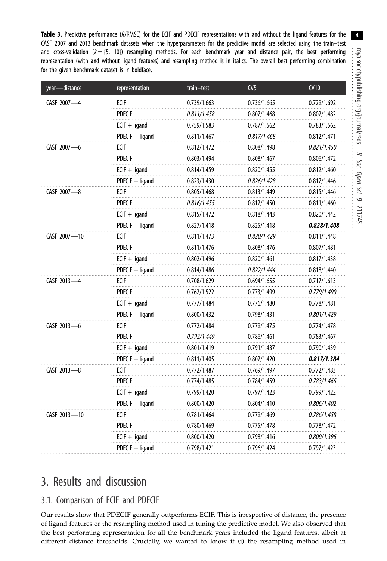<span id="page-3-0"></span>Table 3. Predictive performance (R/RMSE) for the ECIF and PDECIF representations with and without the ligand features for the CASF 2007 and 2013 benchmark datasets when the hyperparameters for the predictive model are selected using the train–test and cross-validation ( $k = \{5, 10\}$ ) resampling methods. For each benchmark year and distance pair, the best performing representation (with and without ligand features) and resampling method is in italics. The overall best performing combination for the given benchmark dataset is in boldface.

| year-distance | representation    | train-test  | CV <sub>5</sub> | CV10               |
|---------------|-------------------|-------------|-----------------|--------------------|
| CASF 2007-4   | ECIF              | 0.739/1.663 | 0.736/1.665     | 0.729/1.692        |
|               | <b>PDECIF</b>     | 0.811/1.458 | 0.807/1.468     | 0.802/1.482        |
|               | $ECIF + ligand$   | 0.759/1.583 | 0.787/1.562     | 0.783/1.562        |
|               | PDECIF + ligand   | 0.811/1.467 | 0.817/1.468     | 0.812/1.471        |
| CASF 2007-6   | ECIF              | 0.812/1.472 | 0.808/1.498     | <i>0.821/1.450</i> |
|               | <b>PDECIF</b>     | 0.803/1.494 | 0.808/1.467     | 0.806/1.472        |
|               | $ECIF + ligand$   | 0.814/1.459 | 0.820/1.455     | 0.812/1.460        |
|               | PDECIF + ligand   | 0.823/1.430 | 0.826/1.428     | 0.817/1.446        |
| CASF 2007-8   | ECIF              | 0.805/1.468 | 0.813/1.449     | 0.815/1.446        |
|               | <b>PDECIF</b>     | 0.816/1.455 | 0.812/1.450     | 0.811/1.460        |
|               | $ECIF + ligand$   | 0.815/1.472 | 0.818/1.443     | 0.820/1.442        |
|               | PDECIF + ligand   | 0.827/1.418 | 0.825/1.418     | 0.828/1.408        |
| CASF 2007-10  | ECIF              | 0.811/1.473 | 0.820/1.429     | 0.811/1.448        |
|               | <b>PDECIF</b>     | 0.811/1.476 | 0.808/1.476     | 0.807/1.481        |
|               | $ECIF + ligand$   | 0.802/1.496 | 0.820/1.461     | 0.817/1.438        |
|               | PDECIF + ligand   | 0.814/1.486 | 0.822/1.444     | 0.818/1.440        |
| CASF 2013-4   | <b>ECIF</b>       | 0.708/1.629 | 0.694/1.655     | 0.717/1.613        |
|               | <b>PDECIF</b>     | 0.762/1.522 | 0.773/1.499     | 0.779/1.490        |
|               | $ECIF + ligand$   | 0.777/1.484 | 0.776/1.480     | 0.778/1.481        |
|               | PDECIF + ligand   | 0.800/1.432 | 0.798/1.431     | 0.801/1.429        |
| CASF 2013-6   | ECIF              | 0.772/1.484 | 0.779/1.475     | 0.774/1.478        |
|               | <b>PDECIF</b>     | 0.792/1.449 | 0.786/1.461     | 0.783/1.467        |
|               | $ECIF + ligand$   | 0.801/1.419 | 0.791/1.437     | 0.790/1.439        |
|               | PDECIF + ligand   | 0.811/1.405 | 0.802/1.420     | 0.817/1.384        |
| CASF 2013-8   | ECIF              | 0.772/1.487 | 0.769/1.497     | 0.772/1.483        |
|               | <b>PDECIF</b>     | 0.774/1.485 | 0.784/1.459     | 0.783/1.465        |
|               | $ECIF + ligand$   | 0.799/1.420 | 0.797/1.423     | 0.799/1.422        |
|               | PDECIF + ligand   | 0.800/1.420 | 0.804/1.410     | 0.806/1.402        |
| CASF 2013-10  | ECIF              | 0.781/1.464 | 0.779/1.469     | 0.786/1.458        |
|               | <b>PDECIF</b>     | 0.780/1.469 | 0.775/1.478     | 0.778/1.472        |
|               | $ECIF + ligand$   | 0.800/1.420 | 0.798/1.416     | 0.809/1.396        |
|               | $PDECIF + ligand$ | 0.798/1.421 | 0.796/1.424     | 0.797/1.423        |

# 3. Results and discussion

## 3.1. Comparison of ECIF and PDECIF

Our results show that PDECIF generally outperforms ECIF. This is irrespective of distance, the presence of ligand features or the resampling method used in tuning the predictive model. We also observed that the best performing representation for all the benchmark years included the ligand features, albeit at different distance thresholds. Crucially, we wanted to know if (i) the resampling method used in

4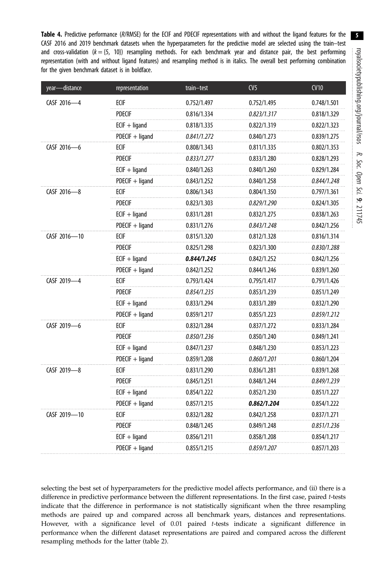<span id="page-4-0"></span>Table 4. Predictive performance (R/RMSE) for the ECIF and PDECIF representations with and without the ligand features for the CASF 2016 and 2019 benchmark datasets when the hyperparameters for the predictive model are selected using the train–test and cross-validation  $(k = \{5, 10\})$  resampling methods. For each benchmark year and distance pair, the best performing representation (with and without ligand features) and resampling method is in italics. The overall best performing combination for the given benchmark dataset is in boldface.

| year-distance | representation  | train-test  | CV <sub>5</sub>    | CV10        |
|---------------|-----------------|-------------|--------------------|-------------|
| CASF 2016-4   | ECIF            | 0.752/1.497 | 0.752/1.495        | 0.748/1.501 |
|               | <b>PDECIF</b>   | 0.816/1.334 | 0.823/1.317        | 0.818/1.329 |
|               | $ECIF + ligand$ | 0.818/1.335 | 0.822/1.319        | 0.822/1.323 |
|               | PDECIF + ligand | 0.841/1.272 | 0.840/1.273        | 0.839/1.275 |
| CASF 2016-6   | ECIF            | 0.808/1.343 | 0.811/1.335        | 0.802/1.353 |
|               | <b>PDECIF</b>   | 0.833/1.277 | 0.833/1.280        | 0.828/1.293 |
|               | $ECIF + ligand$ | 0.840/1.263 | 0.840/1.260        | 0.829/1.284 |
|               | PDECIF + ligand | 0.843/1.252 | 0.840/1.258        | 0.844/1.248 |
| CASF 2016-8   | ecif            | 0.806/1.343 | 0.804/1.350        | 0.797/1.361 |
|               | <b>PDECIF</b>   | 0.823/1.303 | 0.829/1.290        | 0.824/1.305 |
|               | $ECIF + ligand$ | 0.831/1.281 | 0.832/1.275        | 0.838/1.263 |
|               | PDECIF + ligand | 0.831/1.276 | 0.843/1.248        | 0.842/1.256 |
| CASF 2016-10  | ECIF            | 0.815/1.320 | 0.812/1.328        | 0.816/1.314 |
|               | <b>PDECIF</b>   | 0.825/1.298 | 0.823/1.300        | 0.830/1.288 |
|               | $ECIF + ligand$ | 0.844/1.245 | 0.842/1.252        | 0.842/1.256 |
|               | PDECIF + ligand | 0.842/1.252 | 0.844/1.246        | 0.839/1.260 |
| CASF 2019-4   | ECIF            | 0.793/1.424 | 0.795/1.417        | 0.791/1.426 |
|               | <b>PDECIF</b>   | 0.854/1.235 | 0.853/1.239        | 0.851/1.249 |
|               | $ECIF + ligand$ | 0.833/1.294 | 0.833/1.289        | 0.832/1.290 |
|               | PDECIF + ligand | 0.859/1.217 | 0.855/1.223        | 0.859/1.212 |
| CASF 2019-6   | ECIF            | 0.832/1.284 | 0.837/1.272        | 0.833/1.284 |
|               | <b>PDECIF</b>   | 0.850/1.236 | 0.850/1.240        | 0.849/1.241 |
|               | $ECIF + ligand$ | 0.847/1.237 | 0.848/1.230        | 0.853/1.223 |
|               | PDECIF + ligand | 0.859/1.208 | 0.860/1.201        | 0.860/1.204 |
| CASF 2019-8   | ECIF            | 0.831/1.290 | 0.836/1.281        | 0.839/1.268 |
|               | <b>PDECIF</b>   | 0.845/1.251 | 0.848/1.244        | 0.849/1.239 |
|               | $ECIF + ligand$ | 0.854/1.222 | 0.852/1.230        | 0.851/1.227 |
|               | PDECIF + ligand | 0.857/1.215 | 0.862/1.204        | 0.854/1.222 |
| CASF 2019-10  | ecif            | 0.832/1.282 | 0.842/1.258        | 0.837/1.271 |
|               | <b>PDECIF</b>   | 0.848/1.245 | 0.849/1.248        | 0.851/1.236 |
|               | $ECIF + ligand$ | 0.856/1.211 | 0.858/1.208        | 0.854/1.217 |
|               | PDECIF + ligand | 0.855/1.215 | <i>0.859/1.207</i> | 0.857/1.203 |

selecting the best set of hyperparameters for the predictive model affects performance, and (ii) there is a difference in predictive performance between the different representations. In the first case, paired t-tests indicate that the difference in performance is not statistically significant when the three resampling methods are paired up and compared across all benchmark years, distances and representations. However, with a significance level of  $0.01$  paired t-tests indicate a significant difference in performance when the different dataset representations are paired and compared across the different resampling methods for the latter ([table 2](#page-2-0)).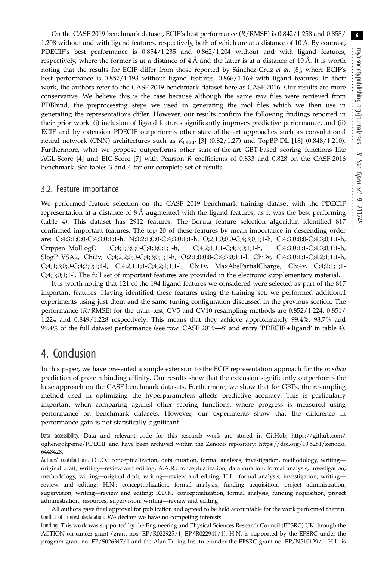On the CASF 2019 benchmark dataset, ECIF's best performance (R/RMSE) is 0.842/1.258 and 0.858/ 1.208 without and with ligand features, respectively, both of which are at a distance of 10 Å. By contrast, PDECIF's best performance is 0.854/1.235 and 0.862/1.204 without and with ligand features, respectively, where the former is at a distance of 4 Å and the latter is at a distance of 10 Å. It is worth noting that the results for ECIF differ from those reported by Sánchez-Cruz et al. [[8](#page-6-0)], where ECIF's best performance is 0.857/1.193 without ligand features, 0.866/1.169 with ligand features. In their work, the authors refer to the CASF-2019 benchmark dataset here as CASF-2016. Our results are more conservative. We believe this is the case because although the same raw files were retrieved from PDBbind, the preprocessing steps we used in generating the mol files which we then use in generating the representations differ. However, our results confirm the following findings reported in their prior work: (i) inclusion of ligand features significantly improves predictive performance, and (ii) ECIF and by extension PDECIF outperforms other state-of-the-art approaches such as convolutional neural network (CNN) architectures such as  $K_{\text{DEEP}}$  [\[3\]](#page-6-0) (0.82/1.27) and TopBP-DL [[18\]](#page-6-0) (0.848/1.210). Furthermore, what we propose outperforms other state-of-the-art GBT-based scoring functions like AGL-Score [[4](#page-6-0)] and EIC-Score [\[7\]](#page-6-0) with Pearson R coefficients of 0.833 and 0.828 on the CASF-2016 benchmark. See tables [3](#page-3-0) and [4](#page-4-0) for our complete set of results.

#### 3.2. Feature importance

We performed feature selection on the CASF 2019 benchmark training dataset with the PDECIF representation at a distance of 8 Å augmented with the ligand features, as it was the best performing [\(table 4\)](#page-4-0). This dataset has 2912 features. The Boruta feature selection algorithm identified 817 confirmed important features. The top 20 of these features by mean importance in descending order are: C;4;3;1;0;0-C;4;3;0;1;1-h, N;3;2;1;0;0-C;4;3;0;1;1-h, O;2;1;0;0;0-C;4;3;0;1;1-h, C;4;3;0;0;0-C;4;3;0;1;1-h, Crippen\_MolLogP, C;4;1;3;0;0-C;4;3;0;1;1-h, C;4;2;1;1;1-C;4;3;0;1;1-h, C;4;3;0;1;1-C;4;3;0;1;1-h, SlogP\_VSA2, Chi2v, C;4;2;2;0;0-C;4;3;0;1;1-h, O;2;1;0;0;0-C;4;3;0;1;1-l, Chi3v, C;4;3;0;1;1-C;4;2;1;1;1-h, C;4;1;3;0;0-C;4;3;0;1;1-l, C;4;2;1;1;1-C;4;2;1;1;1-l, Chi1v, MaxAbsPartialCharge, Chi4v, C;4;2;1;1;1- C;4;3;0;1;1-l. The full set of important features are provided in the electronic supplementary material.

It is worth noting that 121 of the 194 ligand features we considered were selected as part of the 817 important features. Having identified these features using the training set, we performed additional experiments using just them and the same tuning configuration discussed in the previous section. The performance (R/RMSE) for the train–test, CV5 and CV10 resampling methods are 0.852/1.224, 0.851/ 1.224 and 0.849/1.228 respectively. This means that they achieve approximately 99.4%, 98.7% and 99.4% of the full dataset performance (see row 'CASF 2019—8' and entry 'PDECIF + ligand' in [table 4](#page-4-0)).

## 4. Conclusion

In this paper, we have presented a simple extension to the ECIF representation approach for the in silico prediction of protein binding affinity. Our results show that the extension significantly outperforms the base approach on the CASF benchmark datasets. Furthermore, we show that for GBTs, the resampling method used in optimizing the hyperparameters affects predictive accuracy. This is particularly important when comparing against other scoring functions, where progress is measured using performance on benchmark datasets. However, our experiments show that the difference in performance gain is not statistically significant.

Data accessibility. Data and relevant code for this research work are stored in GitHub: [https://github.com/](https://github.com/oghenejokpeme/PDECIF) [oghenejokpeme/PDECIF](https://github.com/oghenejokpeme/PDECIF) and have been archived within the Zenodo repository: [https://doi.org/10.5281/zenodo.](https://doi.org/10.5281/zenodo.6448428) [6448428](https://doi.org/10.5281/zenodo.6448428).

Authors' contributions. O.I.O.: conceptualization, data curation, formal analysis, investigation, methodology, writing original draft, writing—review and editing; A.A.R.: conceptualization, data curation, formal analysis, investigation, methodology, writing—original draft, writing—review and editing; H.L.: formal analysis, investigation, writing review and editing; H.N.: conceptualization, formal analysis, funding acquisition, project administration, supervision, writing—review and editing; R.D.K.: conceptualization, formal analysis, funding acquisition, project administration, resources, supervision, writing—review and editing.

All authors gave final approval for publication and agreed to be held accountable for the work performed therein. Conflict of interest declaration. We declare we have no competing interests.

Funding. This work was supported by the Engineering and Physical Sciences Research Council (EPSRC) UK through the ACTION on cancer grant (grant nos. EP/R022925/1, EP/R022941/1). H.N. is supported by the EPSRC under the program grant no. EP/S026347/1 and the Alan Turing Institute under the EPSRC grant no. EP/N510129/1. H.L. is